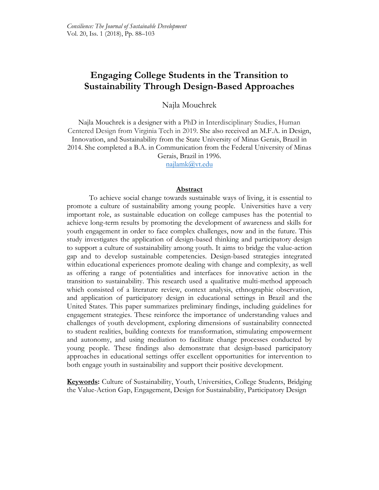# **Engaging College Students in the Transition to Sustainability Through Design-Based Approaches**

# Najla Mouchrek

Najla Mouchrek is a designer with a PhD in Interdisciplinary Studies, Human Centered Design from Virginia Tech in 2019. She also received an M.F.A. in Design, Innovation, and Sustainability from the State University of Minas Gerais, Brazil in 2014. She completed a B.A. in Communication from the Federal University of Minas Gerais, Brazil in 1996.

[najlamk@vt.edu](mailto:najlamk@vt.edu)

#### **Abstract**

To achieve social change towards sustainable ways of living, it is essential to promote a culture of sustainability among young people. Universities have a very important role, as sustainable education on college campuses has the potential to achieve long-term results by promoting the development of awareness and skills for youth engagement in order to face complex challenges, now and in the future. This study investigates the application of design-based thinking and participatory design to support a culture of sustainability among youth. It aims to bridge the value-action gap and to develop sustainable competencies. Design-based strategies integrated within educational experiences promote dealing with change and complexity, as well as offering a range of potentialities and interfaces for innovative action in the transition to sustainability. This research used a qualitative multi-method approach which consisted of a literature review, context analysis, ethnographic observation, and application of participatory design in educational settings in Brazil and the United States. This paper summarizes preliminary findings, including guidelines for engagement strategies. These reinforce the importance of understanding values and challenges of youth development, exploring dimensions of sustainability connected to student realities, building contexts for transformation, stimulating empowerment and autonomy, and using mediation to facilitate change processes conducted by young people. These findings also demonstrate that design-based participatory approaches in educational settings offer excellent opportunities for intervention to both engage youth in sustainability and support their positive development.

**Keywords:** Culture of Sustainability, Youth, Universities, College Students, Bridging the Value-Action Gap, Engagement, Design for Sustainability, Participatory Design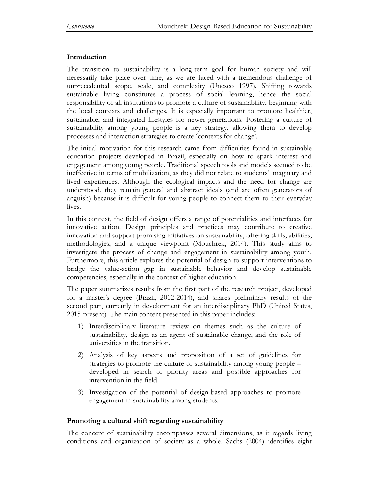## **Introduction**

The transition to sustainability is a long-term goal for human society and will necessarily take place over time, as we are faced with a tremendous challenge of unprecedented scope, scale, and complexity (Unesco 1997). Shifting towards sustainable living constitutes a process of social learning, hence the social responsibility of all institutions to promote a culture of sustainability, beginning with the local contexts and challenges. It is especially important to promote healthier, sustainable, and integrated lifestyles for newer generations. Fostering a culture of sustainability among young people is a key strategy, allowing them to develop processes and interaction strategies to create 'contexts for change'.

The initial motivation for this research came from difficulties found in sustainable education projects developed in Brazil, especially on how to spark interest and engagement among young people. Traditional speech tools and models seemed to be ineffective in terms of mobilization, as they did not relate to students' imaginary and lived experiences. Although the ecological impacts and the need for change are understood, they remain general and abstract ideals (and are often generators of anguish) because it is difficult for young people to connect them to their everyday lives.

In this context, the field of design offers a range of potentialities and interfaces for innovative action. Design principles and practices may contribute to creative innovation and support promising initiatives on sustainability, offering skills, abilities, methodologies, and a unique viewpoint (Mouchrek, 2014). This study aims to investigate the process of change and engagement in sustainability among youth. Furthermore, this article explores the potential of design to support interventions to bridge the value-action gap in sustainable behavior and develop sustainable competencies, especially in the context of higher education.

The paper summarizes results from the first part of the research project, developed for a master's degree (Brazil, 2012-2014), and shares preliminary results of the second part, currently in development for an interdisciplinary PhD (United States, 2015-present). The main content presented in this paper includes:

- 1) Interdisciplinary literature review on themes such as the culture of sustainability, design as an agent of sustainable change, and the role of universities in the transition.
- 2) Analysis of key aspects and proposition of a set of guidelines for strategies to promote the culture of sustainability among young people – developed in search of priority areas and possible approaches for intervention in the field
- 3) Investigation of the potential of design-based approaches to promote engagement in sustainability among students.

## **Promoting a cultural shift regarding sustainability**

The concept of sustainability encompasses several dimensions, as it regards living conditions and organization of society as a whole. Sachs (2004) identifies eight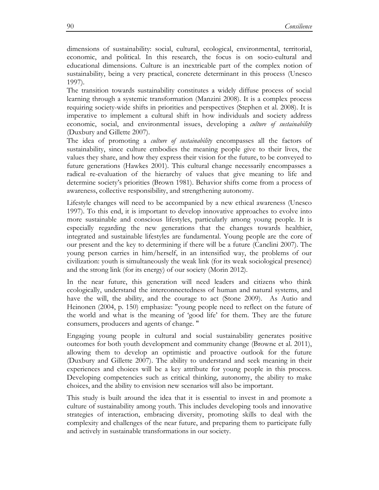dimensions of sustainability: social, cultural, ecological, environmental, territorial, economic, and political. In this research, the focus is on socio-cultural and educational dimensions. Culture is an inextricable part of the complex notion of sustainability, being a very practical, concrete determinant in this process (Unesco 1997).

The transition towards sustainability constitutes a widely diffuse process of social learning through a systemic transformation (Manzini 2008). It is a complex process requiring society-wide shifts in priorities and perspectives (Stephen et al. 2008). It is imperative to implement a cultural shift in how individuals and society address economic, social, and environmental issues, developing a *culture of sustainability*  (Duxbury and Gillette 2007).

The idea of promoting a *culture of sustainability* encompasses all the factors of sustainability, since culture embodies the meaning people give to their lives, the values they share, and how they express their vision for the future, to be conveyed to future generations (Hawkes 2001). This cultural change necessarily encompasses a radical re-evaluation of the hierarchy of values that give meaning to life and determine society's priorities (Brown 1981). Behavior shifts come from a process of awareness, collective responsibility, and strengthening autonomy.

Lifestyle changes will need to be accompanied by a new ethical awareness (Unesco 1997). To this end, it is important to develop innovative approaches to evolve into more sustainable and conscious lifestyles, particularly among young people. It is especially regarding the new generations that the changes towards healthier, integrated and sustainable lifestyles are fundamental. Young people are the core of our present and the key to determining if there will be a future (Canclini 2007). The young person carries in him/herself, in an intensified way, the problems of our civilization: youth is simultaneously the weak link (for its weak sociological presence) and the strong link (for its energy) of our society (Morin 2012).

In the near future, this generation will need leaders and citizens who think ecologically, understand the interconnectedness of human and natural systems, and have the will, the ability, and the courage to act (Stone 2009). As Autio and Heinonen (2004, p. 150) emphasize: "young people need to reflect on the future of the world and what is the meaning of 'good life' for them. They are the future consumers, producers and agents of change. "

Engaging young people in cultural and social sustainability generates positive outcomes for both youth development and community change (Browne et al. 2011), allowing them to develop an optimistic and proactive outlook for the future (Duxbury and Gillette 2007). The ability to understand and seek meaning in their experiences and choices will be a key attribute for young people in this process. Developing competencies such as critical thinking, autonomy, the ability to make choices, and the ability to envision new scenarios will also be important.

This study is built around the idea that it is essential to invest in and promote a culture of sustainability among youth. This includes developing tools and innovative strategies of interaction, embracing diversity, promoting skills to deal with the complexity and challenges of the near future, and preparing them to participate fully and actively in sustainable transformations in our society.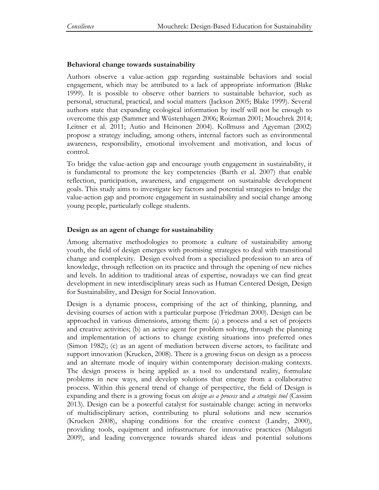## **Behavioral change towards sustainability**

Authors observe a value-action gap regarding sustainable behaviors and social engagement, which may be attributed to a lack of appropriate information (Blake 1999). It is possible to observe other barriers to sustainable behavior, such as personal, structural, practical, and social matters (Jackson 2005; Blake 1999). Several authors state that expanding ecological information by itself will not be enough to overcome this gap (Sammer and Wüstenhagen 2006; Roizman 2001; Mouchrek 2014; Leitner et al. 2011; Autio and Heinonen 2004). Kollmuss and Agyeman (2002) propose a strategy including, among others, internal factors such as environmental awareness, responsibility, emotional involvement and motivation, and locus of control.

To bridge the value-action gap and encourage youth engagement in sustainability, it is fundamental to promote the key competencies (Barth et al. 2007) that enable reflection, participation, awareness, and engagement on sustainable development goals. This study aims to investigate key factors and potential strategies to bridge the value-action gap and promote engagement in sustainability and social change among young people, particularly college students.

## **Design as an agent of change for sustainability**

Among alternative methodologies to promote a culture of sustainability among youth, the field of design emerges with promising strategies to deal with transitional change and complexity. Design evolved from a specialized profession to an area of knowledge, through reflection on its practice and through the opening of new niches and levels. In addition to traditional areas of expertise, nowadays we can find great development in new interdisciplinary areas such as Human Centered Design, Design for Sustainability, and Design for Social Innovation.

Design is a dynamic process, comprising of the act of thinking, planning, and devising courses of action with a particular purpose (Friedman 2000). Design can be approached in various dimensions, among them: (a) a process and a set of projects and creative activities; (b) an active agent for problem solving, through the planning and implementation of actions to change existing situations into preferred ones (Simon 1982); (c) as an agent of mediation between diverse actors, to facilitate and support innovation (Krucken, 2008). There is a growing focus on design as a process and an alternate mode of inquiry within contemporary decision-making contexts. The design process is being applied as a tool to understand reality, formulate problems in new ways, and develop solutions that emerge from a collaborative process. Within this general trend of change of perspective, the field of Design is expanding and there is a growing focus on *design as a process* and *a strategic tool* (Cassim 2013). Design can be a powerful catalyst for sustainable change: acting in networks of multidisciplinary action, contributing to plural solutions and new scenarios (Krucken 2008), shaping conditions for the creative context (Landry, 2000), providing tools, equipment and infrastructure for innovative practices (Malaguti 2009), and leading convergence towards shared ideas and potential solutions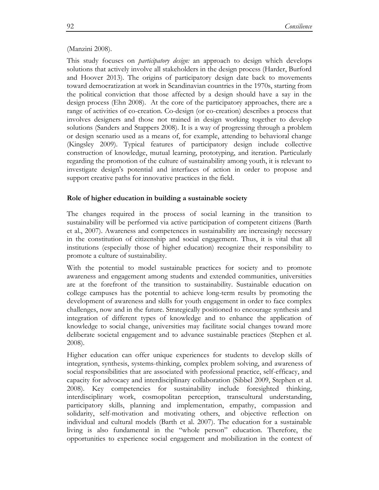#### (Manzini 2008).

This study focuses on *participatory design:* an approach to design which develops solutions that actively involve all stakeholders in the design process (Harder, Burford and Hoover 2013). The origins of participatory design date back to movements toward democratization at work in Scandinavian countries in the 1970s, starting from the political conviction that those affected by a design should have a say in the design process (Ehn 2008). At the core of the participatory approaches, there are a range of activities of co-creation. Co-design (or co-creation) describes a process that involves designers and those not trained in design working together to develop solutions (Sanders and Stappers 2008). It is a way of progressing through a problem or design scenario used as a means of, for example, attending to behavioral change (Kingsley 2009). Typical features of participatory design include collective construction of knowledge, mutual learning, prototyping, and iteration. Particularly regarding the promotion of the culture of sustainability among youth, it is relevant to investigate design's potential and interfaces of action in order to propose and support creative paths for innovative practices in the field.

## **Role of higher education in building a sustainable society**

The changes required in the process of social learning in the transition to sustainability will be performed via active participation of competent citizens (Barth et al., 2007). Awareness and competences in sustainability are increasingly necessary in the constitution of citizenship and social engagement. Thus, it is vital that all institutions (especially those of higher education) recognize their responsibility to promote a culture of sustainability.

With the potential to model sustainable practices for society and to promote awareness and engagement among students and extended communities, universities are at the forefront of the transition to sustainability. Sustainable education on college campuses has the potential to achieve long-term results by promoting the development of awareness and skills for youth engagement in order to face complex challenges, now and in the future. Strategically positioned to encourage synthesis and integration of different types of knowledge and to enhance the application of knowledge to social change, universities may facilitate social changes toward more deliberate societal engagement and to advance sustainable practices (Stephen et al. 2008).

Higher education can offer unique experiences for students to develop skills of integration, synthesis, systems-thinking, complex problem solving, and awareness of social responsibilities that are associated with professional practice, self-efficacy, and capacity for advocacy and interdisciplinary collaboration (Sibbel 2009, Stephen et al. 2008). Key competencies for sustainability include foresighted thinking, interdisciplinary work, cosmopolitan perception, transcultural understanding, participatory skills, planning and implementation, empathy, compassion and solidarity, self-motivation and motivating others, and objective reflection on individual and cultural models (Barth et al. 2007). The education for a sustainable living is also fundamental in the "whole person" education. Therefore, the opportunities to experience social engagement and mobilization in the context of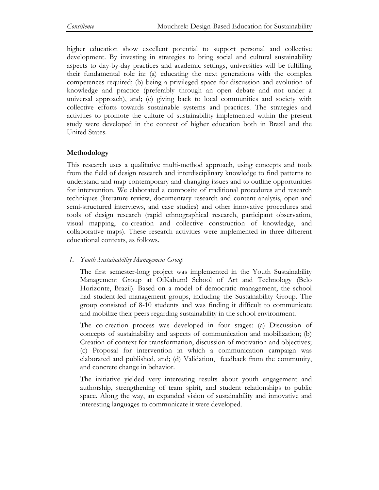higher education show excellent potential to support personal and collective development. By investing in strategies to bring social and cultural sustainability aspects to day-by-day practices and academic settings, universities will be fulfilling their fundamental role in: (a) educating the next generations with the complex competences required; (b) being a privileged space for discussion and evolution of knowledge and practice (preferably through an open debate and not under a universal approach), and; (c) giving back to local communities and society with collective efforts towards sustainable systems and practices. The strategies and activities to promote the culture of sustainability implemented within the present study were developed in the context of higher education both in Brazil and the United States.

# **Methodology**

This research uses a qualitative multi-method approach, using concepts and tools from the field of design research and interdisciplinary knowledge to find patterns to understand and map contemporary and changing issues and to outline opportunities for intervention. We elaborated a composite of traditional procedures and research techniques (literature review, documentary research and content analysis, open and semi-structured interviews, and case studies) and other innovative procedures and tools of design research (rapid ethnographical research, participant observation, visual mapping, co-creation and collective construction of knowledge, and collaborative maps). These research activities were implemented in three different educational contexts, as follows.

## *1. Youth Sustainability Management Group*

The first semester-long project was implemented in the Youth Sustainability Management Group at OiKabum! School of Art and Technology (Belo Horizonte, Brazil). Based on a model of democratic management, the school had student-led management groups, including the Sustainability Group. The group consisted of 8-10 students and was finding it difficult to communicate and mobilize their peers regarding sustainability in the school environment.

The co-creation process was developed in four stages: (a) Discussion of concepts of sustainability and aspects of communication and mobilization; (b) Creation of context for transformation, discussion of motivation and objectives; (c) Proposal for intervention in which a communication campaign was elaborated and published, and; (d) Validation, feedback from the community, and concrete change in behavior.

The initiative yielded very interesting results about youth engagement and authorship, strengthening of team spirit, and student relationships to public space. Along the way, an expanded vision of sustainability and innovative and interesting languages to communicate it were developed.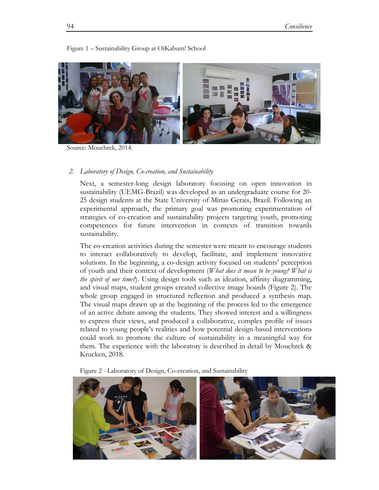

Figure 1 – Sustainability Group at OiKabum! School

Source: Mouchrek, 2014.

#### *2. Laboratory of Design, Co-creation, and Sustainability*

Next, a semester-long design laboratory focusing on open innovation in sustainability (UEMG-Brazil) was developed as an undergraduate course for 20- 25 design students at the State University of Minas Gerais, Brazil. Following an experimental approach, the primary goal was promoting experimentation of strategies of co-creation and sustainability projects targeting youth, promoting competences for future intervention in contexts of transition towards sustainability.

The co-creation activities during the semester were meant to encourage students to interact collaboratively to develop, facilitate, and implement innovative solutions. In the beginning, a co-design activity focused on students' perception of youth and their context of development (*What does it mean to be young? What is the spirit of our time?*). Using design tools such as ideation, affinity diagramming, and visual maps, student groups created collective image boards (Figure 2). The whole group engaged in structured reflection and produced a synthesis map. The visual maps drawn up at the beginning of the process led to the emergence of an active debate among the students. They showed interest and a willingness to express their views, and produced a collaborative, complex profile of issues related to young people's realities and how potential design-based interventions could work to promote the culture of sustainability in a meaningful way for them. The experience with the laboratory is described in detail by Mouchrek & Krucken, 2018.

Figure 2 - Laboratory of Design, Co-creation, and Sustainability

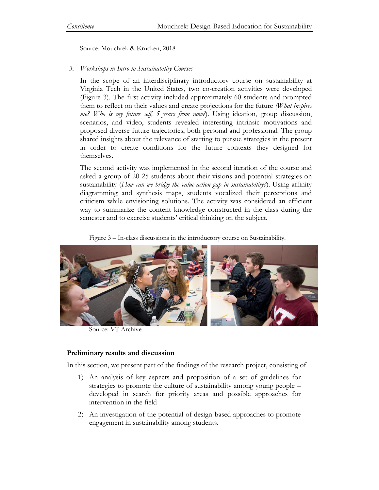Source: Mouchrek & Krucken, 2018

## *3. Workshops in Intro to Sustainability Courses*

In the scope of an interdisciplinary introductory course on sustainability at Virginia Tech in the United States, two co-creation activities were developed (Figure 3). The first activity included approximately 60 students and prompted them to reflect on their values and create projections for the future *(What inspires me? Who is my future self, 5 years from now?*). Using ideation, group discussion, scenarios, and video, students revealed interesting intrinsic motivations and proposed diverse future trajectories, both personal and professional. The group shared insights about the relevance of starting to pursue strategies in the present in order to create conditions for the future contexts they designed for themselves.

The second activity was implemented in the second iteration of the course and asked a group of 20-25 students about their visions and potential strategies on sustainability (*How can we bridge the value-action gap in sustainability?*). Using affinity diagramming and synthesis maps, students vocalized their perceptions and criticism while envisioning solutions. The activity was considered an efficient way to summarize the content knowledge constructed in the class during the semester and to exercise students' critical thinking on the subject.

Figure 3 – In-class discussions in the introductory course on Sustainability.



Source: VT Archive

## **Preliminary results and discussion**

In this section, we present part of the findings of the research project, consisting of

- 1) An analysis of key aspects and proposition of a set of guidelines for strategies to promote the culture of sustainability among young people – developed in search for priority areas and possible approaches for intervention in the field
- 2) An investigation of the potential of design-based approaches to promote engagement in sustainability among students.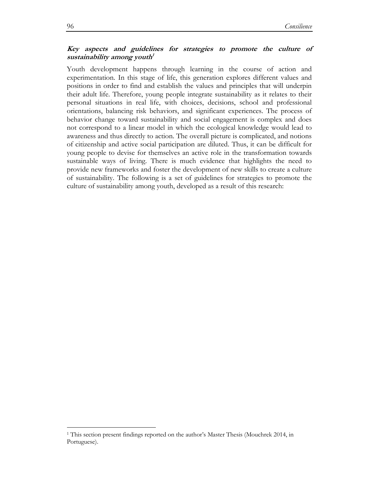## **Key aspects and guidelines for strategies to promote the culture of sustainability among youth 1**

Youth development happens through learning in the course of action and experimentation. In this stage of life, this generation explores different values and positions in order to find and establish the values and principles that will underpin their adult life. Therefore, young people integrate sustainability as it relates to their personal situations in real life, with choices, decisions, school and professional orientations, balancing risk behaviors, and significant experiences. The process of behavior change toward sustainability and social engagement is complex and does not correspond to a linear model in which the ecological knowledge would lead to awareness and thus directly to action. The overall picture is complicated, and notions of citizenship and active social participation are diluted. Thus, it can be difficult for young people to devise for themselves an active role in the transformation towards sustainable ways of living. There is much evidence that highlights the need to provide new frameworks and foster the development of new skills to create a culture of sustainability. The following is a set of guidelines for strategies to promote the culture of sustainability among youth, developed as a result of this research:

 $\overline{a}$ 

<sup>1</sup> This section present findings reported on the author's Master Thesis (Mouchrek 2014, in Portuguese).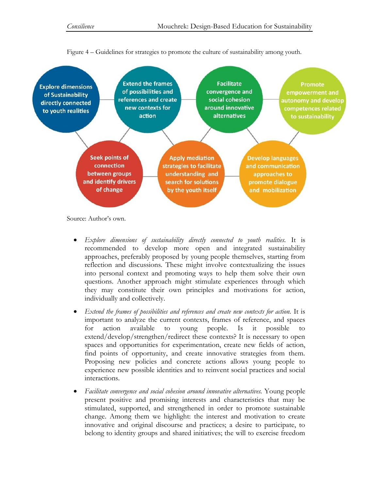

Figure 4 – Guidelines for strategies to promote the culture of sustainability among youth.

Source: Author's own.

- *Explore dimensions of sustainability directly connected to youth realities.* It is recommended to develop more open and integrated sustainability approaches, preferably proposed by young people themselves, starting from reflection and discussions. These might involve contextualizing the issues into personal context and promoting ways to help them solve their own questions. Another approach might stimulate experiences through which they may constitute their own principles and motivations for action, individually and collectively.
- *Extend the frames of possibilities and references and create new contexts for action.* It is important to analyze the current contexts, frames of reference, and spaces for action available to young people. Is it possible to extend/develop/strengthen/redirect these contexts? It is necessary to open spaces and opportunities for experimentation, create new fields of action, find points of opportunity, and create innovative strategies from them. Proposing new policies and concrete actions allows young people to experience new possible identities and to reinvent social practices and social interactions.
- *Facilitate convergence and social cohesion around innovative alternatives.* Young people present positive and promising interests and characteristics that may be stimulated, supported, and strengthened in order to promote sustainable change. Among them we highlight: the interest and motivation to create innovative and original discourse and practices; a desire to participate, to belong to identity groups and shared initiatives; the will to exercise freedom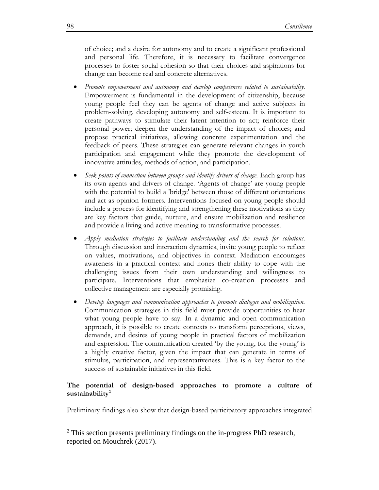of choice; and a desire for autonomy and to create a significant professional and personal life. Therefore, it is necessary to facilitate convergence processes to foster social cohesion so that their choices and aspirations for change can become real and concrete alternatives.

- *Promote empowerment and autonomy and develop competences related to sustainability.* Empowerment is fundamental in the development of citizenship, because young people feel they can be agents of change and active subjects in problem-solving, developing autonomy and self-esteem. It is important to create pathways to stimulate their latent intention to act; reinforce their personal power; deepen the understanding of the impact of choices; and propose practical initiatives, allowing concrete experimentation and the feedback of peers. These strategies can generate relevant changes in youth participation and engagement while they promote the development of innovative attitudes, methods of action, and participation.
- *Seek points of connection between groups and identify drivers of change.* Each group has its own agents and drivers of change. 'Agents of change' are young people with the potential to build a 'bridge' between those of different orientations and act as opinion formers. Interventions focused on young people should include a process for identifying and strengthening these motivations as they are key factors that guide, nurture, and ensure mobilization and resilience and provide a living and active meaning to transformative processes.
- *Apply mediation strategies to facilitate understanding and the search for solutions.* Through discussion and interaction dynamics, invite young people to reflect on values, motivations, and objectives in context. Mediation encourages awareness in a practical context and hones their ability to cope with the challenging issues from their own understanding and willingness to participate. Interventions that emphasize co-creation processes and collective management are especially promising.
- *Develop languages and communication approaches to promote dialogue and mobilization.*  Communication strategies in this field must provide opportunities to hear what young people have to say. In a dynamic and open communication approach, it is possible to create contexts to transform perceptions, views, demands, and desires of young people in practical factors of mobilization and expression. The communication created 'by the young, for the young' is a highly creative factor, given the impact that can generate in terms of stimulus, participation, and representativeness. This is a key factor to the success of sustainable initiatives in this field.

#### **The potential of design-based approaches to promote a culture of sustainability<sup>2</sup>**

Preliminary findings also show that design-based participatory approaches integrated

 $\overline{a}$ 

 $2$  This section presents preliminary findings on the in-progress PhD research, reported on Mouchrek (2017).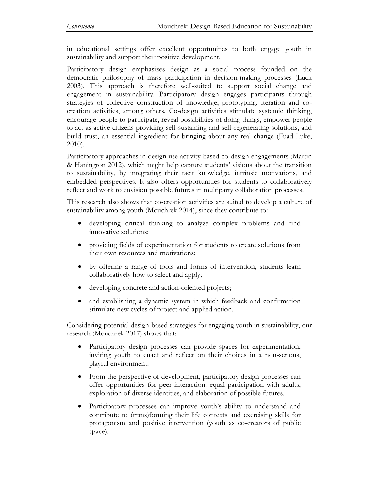in educational settings offer excellent opportunities to both engage youth in sustainability and support their positive development.

Participatory design emphasizes design as a social process founded on the democratic philosophy of mass participation in decision-making processes (Luck 2003). This approach is therefore well-suited to support social change and engagement in sustainability. Participatory design engages participants through strategies of collective construction of knowledge, prototyping, iteration and cocreation activities, among others. Co-design activities stimulate systemic thinking, encourage people to participate, reveal possibilities of doing things, empower people to act as active citizens providing self-sustaining and self-regenerating solutions, and build trust, an essential ingredient for bringing about any real change (Fuad-Luke, 2010).

Participatory approaches in design use activity-based co-design engagements (Martin & Hanington 2012), which might help capture students' visions about the transition to sustainability, by integrating their tacit knowledge, intrinsic motivations, and embedded perspectives. It also offers opportunities for students to collaboratively reflect and work to envision possible futures in multiparty collaboration processes.

This research also shows that co-creation activities are suited to develop a culture of sustainability among youth (Mouchrek 2014), since they contribute to:

- developing critical thinking to analyze complex problems and find innovative solutions;
- providing fields of experimentation for students to create solutions from their own resources and motivations;
- by offering a range of tools and forms of intervention, students learn collaboratively how to select and apply;
- developing concrete and action-oriented projects;
- and establishing a dynamic system in which feedback and confirmation stimulate new cycles of project and applied action.

Considering potential design-based strategies for engaging youth in sustainability, our research (Mouchrek 2017) shows that:

- Participatory design processes can provide spaces for experimentation, inviting youth to enact and reflect on their choices in a non-serious, playful environment.
- From the perspective of development, participatory design processes can offer opportunities for peer interaction, equal participation with adults, exploration of diverse identities, and elaboration of possible futures.
- Participatory processes can improve youth's ability to understand and contribute to (trans)forming their life contexts and exercising skills for protagonism and positive intervention (youth as co-creators of public space).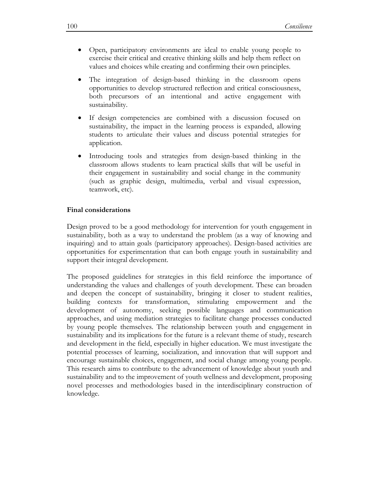- Open, participatory environments are ideal to enable young people to exercise their critical and creative thinking skills and help them reflect on values and choices while creating and confirming their own principles.
- The integration of design-based thinking in the classroom opens opportunities to develop structured reflection and critical consciousness, both precursors of an intentional and active engagement with sustainability.
- If design competencies are combined with a discussion focused on sustainability, the impact in the learning process is expanded, allowing students to articulate their values and discuss potential strategies for application.
- Introducing tools and strategies from design-based thinking in the classroom allows students to learn practical skills that will be useful in their engagement in sustainability and social change in the community (such as graphic design, multimedia, verbal and visual expression, teamwork, etc).

#### **Final considerations**

Design proved to be a good methodology for intervention for youth engagement in sustainability, both as a way to understand the problem (as a way of knowing and inquiring) and to attain goals (participatory approaches). Design-based activities are opportunities for experimentation that can both engage youth in sustainability and support their integral development.

The proposed guidelines for strategies in this field reinforce the importance of understanding the values and challenges of youth development. These can broaden and deepen the concept of sustainability, bringing it closer to student realities, building contexts for transformation, stimulating empowerment and the development of autonomy, seeking possible languages and communication approaches, and using mediation strategies to facilitate change processes conducted by young people themselves. The relationship between youth and engagement in sustainability and its implications for the future is a relevant theme of study, research and development in the field, especially in higher education. We must investigate the potential processes of learning, socialization, and innovation that will support and encourage sustainable choices, engagement, and social change among young people. This research aims to contribute to the advancement of knowledge about youth and sustainability and to the improvement of youth wellness and development, proposing novel processes and methodologies based in the interdisciplinary construction of knowledge.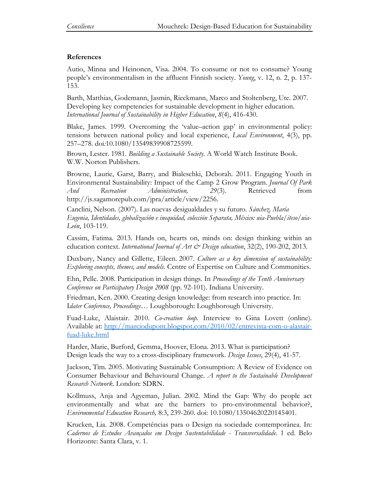# **References**

Autio, Minna and Heinonen, Visa. 2004. To consume or not to consume? Young people's environmentalism in the affluent Finnish society. *Young*, v. 12, n. 2, p. 137- 153.

Barth, Matthias, Godemann, Jasmin, Rieckmann, Marco and Stoltenberg, Ute. 2007. Developing key competencies for sustainable development in higher education. *International Journal of Sustainability in Higher Education*, *8*(4), 416-430.

Blake, James. 1999. Overcoming the 'value–action gap' in environmental policy: tensions between national policy and local experience, *Local Environment*, 4(3), pp. 257–278. [doi](https://en.wikipedia.org/wiki/Digital_object_identifier)*:*[10.1080/13549839908725599](https://dx.doi.org/10.1080%2F13549839908725599)*.*

Brown, Lester. 1981. *Building a Sustainable Society*. A World Watch Institute Book. W.W. Norton Publishers.

Browne, Laurie, Garst, Barry, and Bialeschki, Deborah. 2011. Engaging Youth in Environmental Sustainability: Impact of the Camp 2 Grow Program. *Journal Of Park And Recreation Administration, 29*(3). Retrieved from [http://js.sagamorepub.com/jpra/article/view/2256.](http://js.sagamorepub.com/jpra/article/view/2256)

Canclini, Nelson. (2007). Las nuevas desigualdades y su futuro. *Sánchez, María Eugenia, Identidades, globalización e inequidad, colección Separata, México: uia-Puebla/iteso/uia-León*, 103-119.

Cassim, Fatima. 2013. Hands on, hearts on, minds on: design thinking within an education context. *International Journal of Art & Design education*, 32(2), 190-202, 2013.

Duxbury, Nancy and Gillette, Eileen. 2007. *Culture as a key dimension of sustainability: Exploring concepts, themes, and models.* Centre of Expertise on Culture and Communities.

Ehn, Pelle. 2008. Participation in design things. In *Proceedings of the Tenth Anniversary Conference on Participatory Design 2008* (pp. 92-101). Indiana University.

Friedman, Ken. 2000. Creating design knowledge: from research into practice. In: I*dater Conference, Proceedings*… Loughborough: Loughborough University.

Fuad-Luke, Alaistair. 2010. *Co-creation loop.* Interview to Gina Lovett (online). Available at: [http://marciodupont.blogspot.com/2010/02/entrevista-com-o-alastair](http://marciodupont.blogspot.com/2010/02/entrevista-com-o-alastair-fuad-luke.html)[fuad-luke.html](http://marciodupont.blogspot.com/2010/02/entrevista-com-o-alastair-fuad-luke.html)

Harder, Marie, Burford, Gemma, Hoover, Elona. 2013. What is participation? Design leads the way to a cross-disciplinary framework. *Design Issues*, 29(4), 41-57.

Jackson, Tim. 2005. Motivating Sustainable Consumption: A Review of Evidence on Consumer Behaviour and Behavioural Change. *A report to the Sustainable Development Research Network*. London: SDRN.

Kollmuss, Anja and Agyeman, Julian. 2002. Mind the Gap: Why do people act environmentally and what are the barriers to pro-environmental behavior?, *Environmental Education Research,* 8:3, 239-260. doi: 10.1080/13504620220145401.

Krucken, Lia. 2008. Competências para o Design na sociedade contemporânea. In: *Cadernos de Estudos Avançados em Design Sustentabilidade* - *Transversalidade*. 1 ed. Belo Horizonte: Santa Clara, v. 1.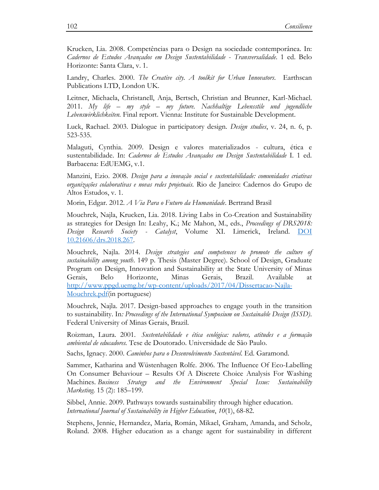Krucken, Lia. 2008. Competências para o Design na sociedade contemporânea. In: *Cadernos de Estudos Avançados em Design Sustentabilidade* - *Transversalidade*. 1 ed. Belo Horizonte: Santa Clara, v. 1.

Landry, Charles. 2000. *The Creative city. A toolkit for Urban Innovators*. Earthscan Publications LTD, London UK.

Leitner, Michaela, Christanell, Anja, Bertsch, Christian and Brunner, Karl-Michael. 2011. *My life – my style – my future. Nachhaltige Lebensstile und jugendliche Lebenswirklichkeiten.* Final report. Vienna: Institute for Sustainable Development.

Luck, Rachael. 2003. Dialogue in participatory design. *Design studies*, v. 24, n. 6, p. 523-535.

Malaguti, Cynthia. 2009. Design e valores materializados - cultura, ética e sustentabilidade. In: *Cadernos de Estudos Avançados em Design Sustentabilidade* I. 1 ed. Barbacena: EdUEMG, v.1.

Manzini, Ezio. 2008. *Design para a inovação social e sustentabilidade: comunidades criativas organizações colaborativas e novas redes projetuais.* Rio de Janeiro: Cadernos do Grupo de Altos Estudos, v. 1.

Morin, Edgar. 2012. *A Via Para o Futuro da Humanidade*. Bertrand Brasil

Mouchrek, Najla, Krucken, Lia. 2018. Living Labs in Co-Creation and Sustainability as strategies for Design In: Leahy, K.; Mc Mahon, M., eds., *Proceedings of DRS2018: Design Research Society - Catalyst*, Volume XI. Limerick, Ireland. [DOI](https://www.scribd.com/document/382347728/DRS2018-Vol-7#fullscreen&from_embed&page=266)  [10.21606/drs.2018.267.](https://www.scribd.com/document/382347728/DRS2018-Vol-7#fullscreen&from_embed&page=266)

Mouchrek, Najla. 2014. *Design strategies and competences to promote the culture of sustainability among youth*. 149 p. Thesis (Master Degree). School of Design, Graduate Program on Design, Innovation and Sustainability at the State University of Minas Gerais, Belo Horizonte, Minas Gerais, Brazil. Available at [http://www.ppgd.uemg.br/wp-content/uploads/2017/04/Dissertacao-Najla-](http://www.ppgd.uemg.br/wp-content/uploads/2017/04/Dissertacao-Najla-Mouchrek.pdf)[Mouchrek.pdf\(](http://www.ppgd.uemg.br/wp-content/uploads/2017/04/Dissertacao-Najla-Mouchrek.pdf)in portuguese)

Mouchrek, Najla. 2017. Design-based approaches to engage youth in the transition to sustainability. In*: Proceedings of the International Symposium on Sustainable Design (ISSD)*. Federal University of Minas Gerais, Brazil.

Roizman, Laura. 2001. *Sustentabilidade e ética ecológica: valores, atitudes e a formação ambiental de educadores.* Tese de Doutorado. Universidade de São Paulo.

Sachs, Ignacy. 2000. *Caminhos para o Desenvolvimento Sustentável*. Ed. Garamond.

Sammer, Katharina and Wüstenhagen Rolfe. 2006. The Influence Of Eco-Labelling On Consumer Behaviour – Results Of A Discrete Choice Analysis For Washing Machines. *Business Strategy and the Environment Special Issue: Sustainability Marketing*. 15 (2): 185–199.

Sibbel, Annie. 2009. Pathways towards sustainability through higher education. *International Journal of Sustainability in Higher Education*, *10*(1), 68-82.

Stephens, Jennie, Hernandez, Maria, Román, Mikael, Graham, Amanda, and Scholz, Roland. 2008. Higher education as a change agent for sustainability in different